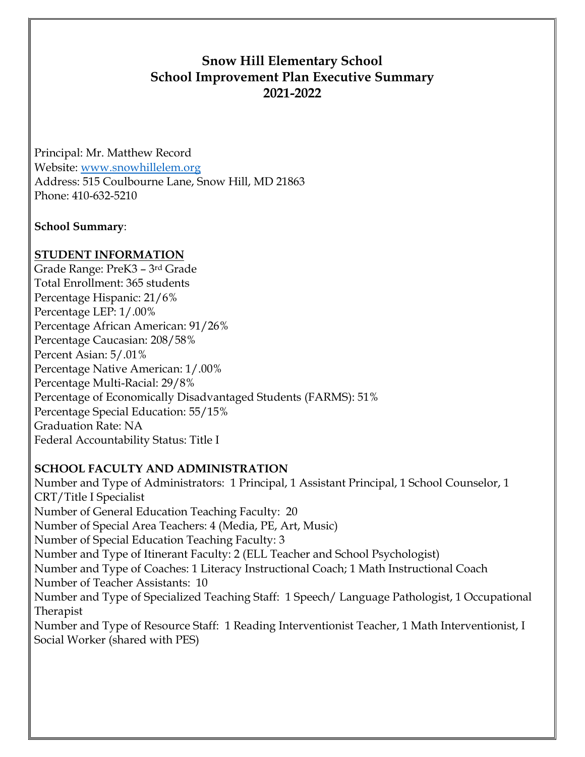# **Snow Hill Elementary School School Improvement Plan Executive Summary 2021-2022**

Principal: Mr. Matthew Record Website: [www.snowhillelem.org](http://www.snowhillelem.org/) Address: 515 Coulbourne Lane, Snow Hill, MD 21863 Phone: 410-632-5210

### **School Summary**:

## **STUDENT INFORMATION**

Grade Range: PreK3 – 3rd Grade Total Enrollment: 365 students Percentage Hispanic: 21/6% Percentage LEP: 1/.00% Percentage African American: 91/26% Percentage Caucasian: 208/58% Percent Asian: 5/.01% Percentage Native American: 1/.00% Percentage Multi-Racial: 29/8% Percentage of Economically Disadvantaged Students (FARMS): 51% Percentage Special Education: 55/15% Graduation Rate: NA Federal Accountability Status: Title I

## **SCHOOL FACULTY AND ADMINISTRATION**

Number and Type of Administrators: 1 Principal, 1 Assistant Principal, 1 School Counselor, 1 CRT/Title I Specialist Number of General Education Teaching Faculty: 20 Number of Special Area Teachers: 4 (Media, PE, Art, Music) Number of Special Education Teaching Faculty: 3 Number and Type of Itinerant Faculty: 2 (ELL Teacher and School Psychologist) Number and Type of Coaches: 1 Literacy Instructional Coach; 1 Math Instructional Coach Number of Teacher Assistants: 10 Number and Type of Specialized Teaching Staff: 1 Speech/ Language Pathologist, 1 Occupational Therapist Number and Type of Resource Staff: 1 Reading Interventionist Teacher, 1 Math Interventionist, I Social Worker (shared with PES)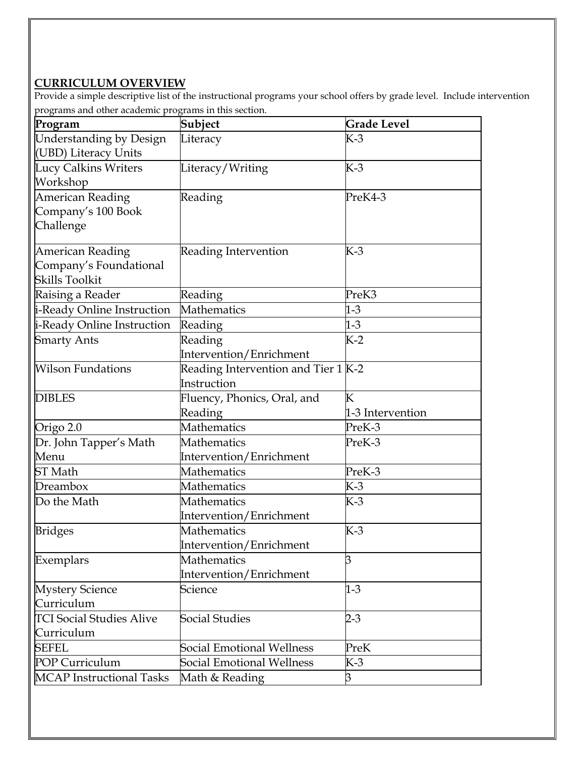## **CURRICULUM OVERVIEW**

Provide a simple descriptive list of the instructional programs your school offers by grade level. Include intervention programs and other academic programs in this section.

| Program                         | Subject                             | <b>Grade Level</b> |
|---------------------------------|-------------------------------------|--------------------|
| Understanding by Design         | Literacy                            | K-3                |
| (UBD) Literacy Units            |                                     |                    |
| Lucy Calkins Writers            | Literacy/Writing                    | K-3                |
| Workshop                        |                                     |                    |
| <b>American Reading</b>         | Reading                             | PreK4-3            |
| Company's 100 Book              |                                     |                    |
| Challenge                       |                                     |                    |
| American Reading                | Reading Intervention                | К-3                |
| Company's Foundational          |                                     |                    |
| <b>Skills Toolkit</b>           |                                     |                    |
| Raising a Reader                | Reading                             | PreK3              |
| i-Ready Online Instruction      | <b>Mathematics</b>                  | $1-3$              |
| i-Ready Online Instruction      | Reading                             | $1-3$              |
| <b>Smarty Ants</b>              | Reading                             | K-2                |
|                                 | Intervention/Enrichment             |                    |
| <b>Wilson Fundations</b>        | Reading Intervention and Tier 1 K-2 |                    |
|                                 | Instruction                         |                    |
| <b>DIBLES</b>                   | Fluency, Phonics, Oral, and         | К                  |
|                                 | Reading                             | 1-3 Intervention   |
| Origo 2.0                       | <b>Mathematics</b>                  | PreK-3             |
| Dr. John Tapper's Math          | Mathematics                         | PreK-3             |
| Menu                            | Intervention/Enrichment             |                    |
| ST Math                         | Mathematics                         | PreK-3             |
| Dreambox                        | Mathematics                         | $K-3$              |
| Do the Math                     | Mathematics                         | K-3                |
|                                 | Intervention/Enrichment             |                    |
| <b>Bridges</b>                  | Mathematics                         | $K-3$              |
|                                 | Intervention/Enrichment             |                    |
| Exemplars                       | Mathematics                         | ß                  |
|                                 | Intervention/Enrichment             |                    |
| <b>Mystery Science</b>          | Science                             | $1-3$              |
| Curriculum                      |                                     |                    |
| <b>TCI Social Studies Alive</b> | Social Studies                      | $2 - 3$            |
| Curriculum                      |                                     |                    |
| <b>SEFEL</b>                    | <b>Social Emotional Wellness</b>    | PreK               |
| POP Curriculum                  | Social Emotional Wellness           | K-3                |
| <b>MCAP</b> Instructional Tasks | Math & Reading                      | З                  |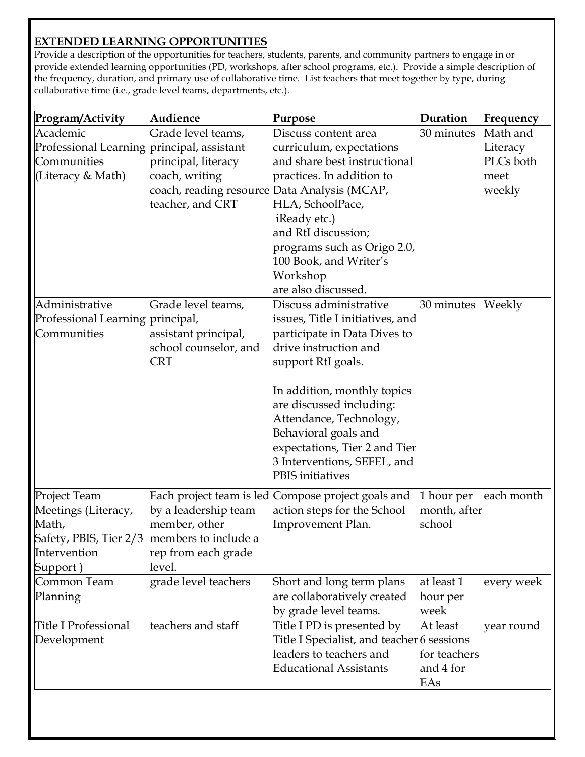## **EXTENDED LEARNING OPPORTUNITIES**

Provide a description of the opportunities for teachers, students, parents, and community partners to engage in or provide extended learning opportunities (PD, workshops, after school programs, etc.). Provide a simple description of the frequency, duration, and primary use of collaborative time. List teachers that meet together by type, during collaborative time (i.e., grade level teams, departments, etc.).

| Program/Activity                                                                                                        | Audience                                                                                           | Purpose                                                                                                                                                                                                                                                                                                                                            | Duration                                     | Frequency                               |
|-------------------------------------------------------------------------------------------------------------------------|----------------------------------------------------------------------------------------------------|----------------------------------------------------------------------------------------------------------------------------------------------------------------------------------------------------------------------------------------------------------------------------------------------------------------------------------------------------|----------------------------------------------|-----------------------------------------|
| Academic                                                                                                                | Grade level teams,                                                                                 | Discuss content area                                                                                                                                                                                                                                                                                                                               | 30 minutes                                   | Math and                                |
| Professional Learning principal, assistant<br>Communities<br>(Literacy & Math)                                          | principal, literacy<br>coach, writing<br>coach, reading resource Data Analysis (MCAP,              | curriculum, expectations<br>and share best instructional<br>practices. In addition to                                                                                                                                                                                                                                                              |                                              | Literacy<br>PLCs both<br>meet<br>weekly |
|                                                                                                                         | teacher, and CRT                                                                                   | HLA, SchoolPace,<br>iReady etc.)<br>and RtI discussion;<br>programs such as Origo 2.0,<br>100 Book, and Writer's<br>Workshop<br>are also discussed.                                                                                                                                                                                                |                                              |                                         |
| Administrative<br>Professional Learning principal,<br>Communities                                                       | Grade level teams,<br>assistant principal,<br>school counselor, and<br>CRT                         | Discuss administrative<br>issues, Title I initiatives, and<br>participate in Data Dives to<br>drive instruction and<br>support RtI goals.<br>In addition, monthly topics<br>are discussed including:<br>Attendance, Technology,<br>Behavioral goals and<br>expectations, Tier 2 and Tier<br>3 Interventions, SEFEL, and<br><b>PBIS</b> initiatives | 30 minutes                                   | Weekly                                  |
| Project Team<br>Meetings (Literacy,<br>Math,<br>Safety, PBIS, Tier 2/3 members to include a<br>Intervention<br>Support) | Each project team is led<br>by a leadership team<br>member, other<br>rep from each grade<br>level. | Compose project goals and<br>action steps for the School<br>Improvement Plan.                                                                                                                                                                                                                                                                      | 1 hour per<br>month, after<br>school         | each month                              |
| Common Team<br>Planning                                                                                                 | grade level teachers                                                                               | Short and long term plans<br>are collaboratively created<br>by grade level teams.                                                                                                                                                                                                                                                                  | at least 1<br>hour per<br>week               | every week                              |
| Title I Professional<br>Development                                                                                     | teachers and staff                                                                                 | Title I PD is presented by<br>Title I Specialist, and teacher 6 sessions<br>leaders to teachers and<br><b>Educational Assistants</b>                                                                                                                                                                                                               | At least<br>for teachers<br>and 4 for<br>EAs | year round                              |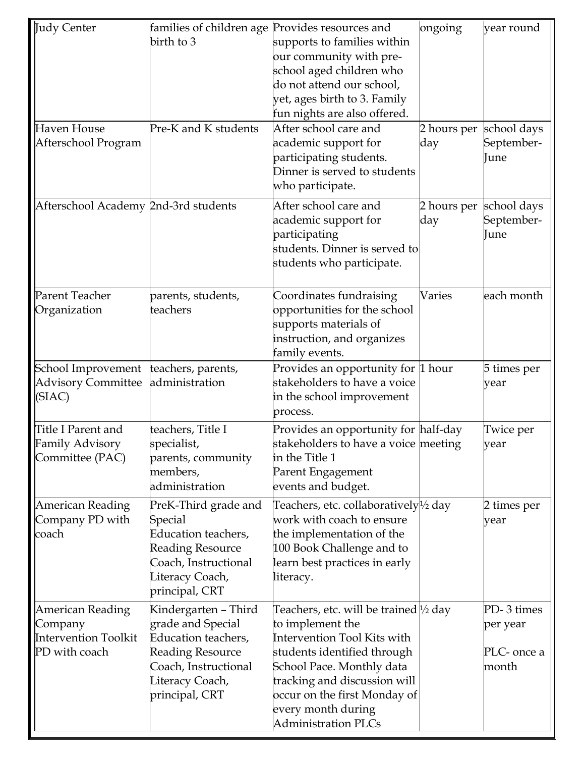| Judy Center                          | families of children age Provides resources and |                                                    | ongoing     | year round  |
|--------------------------------------|-------------------------------------------------|----------------------------------------------------|-------------|-------------|
|                                      | birth to 3                                      | supports to families within                        |             |             |
|                                      |                                                 | our community with pre-                            |             |             |
|                                      |                                                 | school aged children who                           |             |             |
|                                      |                                                 | do not attend our school,                          |             |             |
|                                      |                                                 | yet, ages birth to 3. Family                       |             |             |
|                                      |                                                 | fun nights are also offered.                       |             |             |
| Haven House                          | Pre-K and K students                            | After school care and                              | 2 hours per | school days |
| Afterschool Program                  |                                                 | academic support for                               | day         | September-  |
|                                      |                                                 | participating students.                            |             | June        |
|                                      |                                                 | Dinner is served to students                       |             |             |
|                                      |                                                 | who participate.                                   |             |             |
|                                      |                                                 |                                                    |             |             |
| Afterschool Academy 2nd-3rd students |                                                 | After school care and                              | 2 hours per | school days |
|                                      |                                                 | academic support for                               | day         | September-  |
|                                      |                                                 | participating                                      |             | June        |
|                                      |                                                 | students. Dinner is served to                      |             |             |
|                                      |                                                 | students who participate.                          |             |             |
|                                      |                                                 |                                                    |             |             |
| Parent Teacher                       | parents, students,                              | Coordinates fundraising                            | Varies      | each month  |
| Organization                         | teachers                                        | opportunities for the school                       |             |             |
|                                      |                                                 | supports materials of                              |             |             |
|                                      |                                                 | instruction, and organizes                         |             |             |
|                                      |                                                 | family events.                                     |             |             |
| School Improvement                   | teachers, parents,                              | Provides an opportunity for 1 hour                 |             | 5 times per |
| <b>Advisory Committee</b>            | administration                                  | stakeholders to have a voice                       |             | year        |
| (SIAC)                               |                                                 | in the school improvement                          |             |             |
|                                      |                                                 | process.                                           |             |             |
| Title I Parent and                   | teachers, Title I                               | Provides an opportunity for half-day               |             | Twice per   |
| <b>Family Advisory</b>               | specialist,                                     | stakeholders to have a voice meeting               |             | year        |
| Committee (PAC)                      | parents, community                              | in the Title 1                                     |             |             |
|                                      | members,                                        | Parent Engagement                                  |             |             |
|                                      | administration                                  | events and budget.                                 |             |             |
|                                      |                                                 |                                                    |             |             |
| American Reading                     | PreK-Third grade and                            | Teachers, etc. collaboratively <sup>[1/2</sup> day |             | 2 times per |
| Company PD with                      | Special                                         | work with coach to ensure                          |             | year        |
| coach                                | Education teachers,                             | the implementation of the                          |             |             |
|                                      | <b>Reading Resource</b>                         | 100 Book Challenge and to                          |             |             |
|                                      | Coach, Instructional                            | learn best practices in early                      |             |             |
|                                      | Literacy Coach,                                 | literacy.                                          |             |             |
|                                      | principal, CRT                                  |                                                    |             |             |
| <b>American Reading</b>              | Kindergarten - Third                            | Teachers, etc. will be trained $\frac{1}{2}$ day   |             | PD-3 times  |
| Company                              | grade and Special                               | to implement the                                   |             | per year    |
| <b>Intervention Toolkit</b>          | Education teachers,                             | Intervention Tool Kits with                        |             |             |
| PD with coach                        | Reading Resource                                | students identified through                        |             | PLC- once a |
|                                      | Coach, Instructional                            | School Pace. Monthly data                          |             | month       |
|                                      | Literacy Coach,                                 | tracking and discussion will                       |             |             |
|                                      | principal, CRT                                  | occur on the first Monday of                       |             |             |
|                                      |                                                 | every month during                                 |             |             |
|                                      |                                                 | <b>Administration PLCs</b>                         |             |             |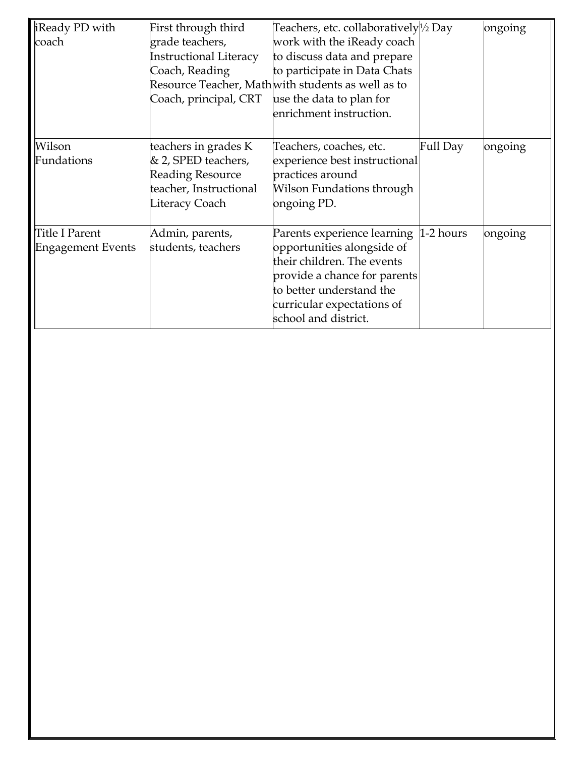| iReady PD with<br>coach                    | First through third<br>grade teachers,<br><b>Instructional Literacy</b><br>Coach, Reading<br>Coach, principal, CRT | Teachers, etc. collaboratively½ Day<br>work with the iReady coach<br>to discuss data and prepare<br>to participate in Data Chats<br>Resource Teacher, Math with students as well as to<br>use the data to plan for<br>enrichment instruction. |          | ongoing |
|--------------------------------------------|--------------------------------------------------------------------------------------------------------------------|-----------------------------------------------------------------------------------------------------------------------------------------------------------------------------------------------------------------------------------------------|----------|---------|
| Wilson<br>Fundations                       | teachers in grades K<br>& 2, SPED teachers,<br><b>Reading Resource</b><br>teacher, Instructional<br>Literacy Coach | Teachers, coaches, etc.<br>experience best instructional<br>practices around<br>Wilson Fundations through<br>ongoing PD.                                                                                                                      | Full Day | ongoing |
| Title I Parent<br><b>Engagement Events</b> | Admin, parents,<br>students, teachers                                                                              | Parents experience learning 1-2 hours<br>opportunities alongside of<br>their children. The events<br>provide a chance for parents<br>to better understand the<br>curricular expectations of<br>school and district.                           |          | ongoing |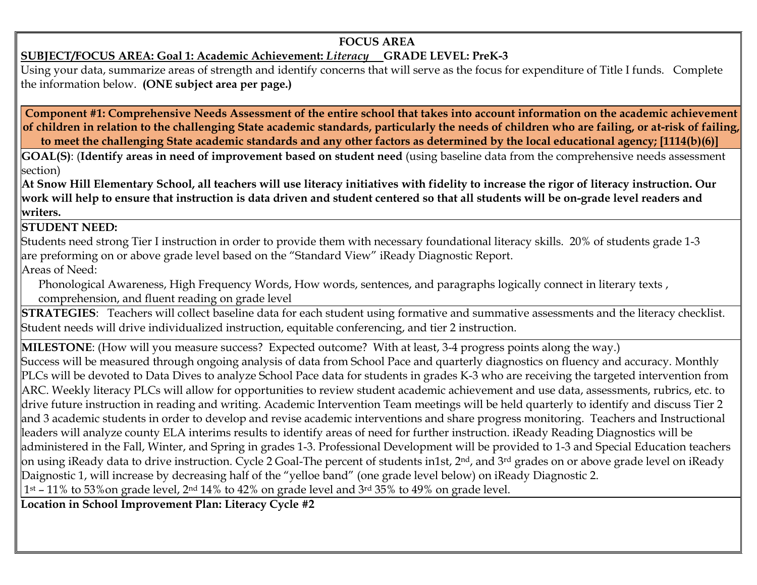### **SUBJECT/FOCUS AREA: Goal 1: Academic Achievement:** *Literacy* **GRADE LEVEL: PreK-3**

Using your data, summarize areas of strength and identify concerns that will serve as the focus for expenditure of Title I funds. Complete the information below. **(ONE subject area per page.)**

**Component #1: Comprehensive Needs Assessment of the entire school that takes into account information on the academic achievement of children in relation to the challenging State academic standards, particularly the needs of children who are failing, or at-risk of failing, to meet the challenging State academic standards and any other factors as determined by the local educational agency; [1114(b)(6)]**

**GOAL(S)**: (**Identify areas in need of improvement based on student need** (using baseline data from the comprehensive needs assessment section)

**At Snow Hill Elementary School, all teachers will use literacy initiatives with fidelity to increase the rigor of literacy instruction. Our work will help to ensure that instruction is data driven and student centered so that all students will be on-grade level readers and writers.**

**STUDENT NEED:** 

Students need strong Tier I instruction in order to provide them with necessary foundational literacy skills. 20% of students grade 1-3 are preforming on or above grade level based on the "Standard View" iReady Diagnostic Report.

Areas of Need:

Phonological Awareness, High Frequency Words, How words, sentences, and paragraphs logically connect in literary texts, comprehension, and fluent reading on grade level

**STRATEGIES**: Teachers will collect baseline data for each student using formative and summative assessments and the literacy checklist. Student needs will drive individualized instruction, equitable conferencing, and tier 2 instruction.

**MILESTONE**: (How will you measure success? Expected outcome? With at least, 3-4 progress points along the way.) Success will be measured through ongoing analysis of data from School Pace and quarterly diagnostics on fluency and accuracy. Monthly PLCs will be devoted to Data Dives to analyze School Pace data for students in grades K-3 who are receiving the targeted intervention from ARC. Weekly literacy PLCs will allow for opportunities to review student academic achievement and use data, assessments, rubrics, etc. to drive future instruction in reading and writing. Academic Intervention Team meetings will be held quarterly to identify and discuss Tier 2 and 3 academic students in order to develop and revise academic interventions and share progress monitoring. Teachers and Instructional leaders will analyze county ELA interims results to identify areas of need for further instruction. iReady Reading Diagnostics will be administered in the Fall, Winter, and Spring in grades 1-3. Professional Development will be provided to 1-3 and Special Education teachers on using iReady data to drive instruction. Cycle 2 Goal-The percent of students in1st, 2nd, and 3rd grades on or above grade level on iReady Daignostic 1, will increase by decreasing half of the "yelloe band" (one grade level below) on iReady Diagnostic 2.  $1<sup>st</sup>$  – 11% to 53% on grade level, 2<sup>nd</sup> 14% to 42% on grade level and 3<sup>rd</sup> 35% to 49% on grade level.

**Location in School Improvement Plan: Literacy Cycle #2**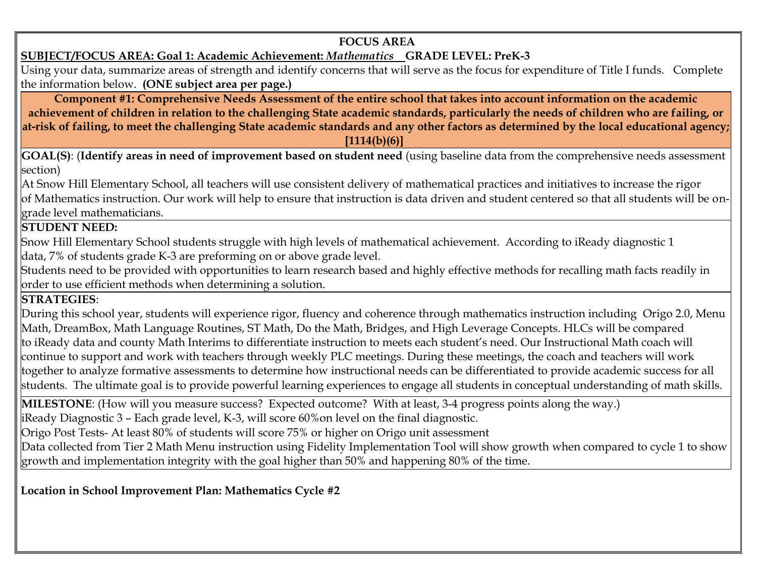## **SUBJECT/FOCUS AREA: Goal 1: Academic Achievement:** *Mathematics* **GRADE LEVEL: PreK-3**

Using your data, summarize areas of strength and identify concerns that will serve as the focus for expenditure of Title I funds. Complete the information below. **(ONE subject area per page.)**

**Component #1: Comprehensive Needs Assessment of the entire school that takes into account information on the academic achievement of children in relation to the challenging State academic standards, particularly the needs of children who are failing, or at-risk of failing, to meet the challenging State academic standards and any other factors as determined by the local educational agency; [1114(b)(6)]**

**GOAL(S)**: (**Identify areas in need of improvement based on student need** (using baseline data from the comprehensive needs assessment section)

At Snow Hill Elementary School, all teachers will use consistent delivery of mathematical practices and initiatives to increase the rigor of Mathematics instruction. Our work will help to ensure that instruction is data driven and student centered so that all students will be ongrade level mathematicians.

### **STUDENT NEED:**

Snow Hill Elementary School students struggle with high levels of mathematical achievement. According to iReady diagnostic 1 data, 7% of students grade K-3 are preforming on or above grade level.

Students need to be provided with opportunities to learn research based and highly effective methods for recalling math facts readily in order to use efficient methods when determining a solution.

## **STRATEGIES**:

During this school year, students will experience rigor, fluency and coherence through mathematics instruction including Origo 2.0, Menu Math, DreamBox, Math Language Routines, ST Math, Do the Math, Bridges, and High Leverage Concepts. HLCs will be compared to iReady data and county Math Interims to differentiate instruction to meets each student's need. Our Instructional Math coach will continue to support and work with teachers through weekly PLC meetings. During these meetings, the coach and teachers will work together to analyze formative assessments to determine how instructional needs can be differentiated to provide academic success for all students. The ultimate goal is to provide powerful learning experiences to engage all students in conceptual understanding of math skills.

**MILESTONE**: (How will you measure success? Expected outcome? With at least, 3-4 progress points along the way.) iReady Diagnostic 3 – Each grade level, K-3, will score 60%on level on the final diagnostic.

Origo Post Tests- At least 80% of students will score 75% or higher on Origo unit assessment

Data collected from Tier 2 Math Menu instruction using Fidelity Implementation Tool will show growth when compared to cycle 1 to show growth and implementation integrity with the goal higher than 50% and happening 80% of the time.

**Location in School Improvement Plan: Mathematics Cycle #2**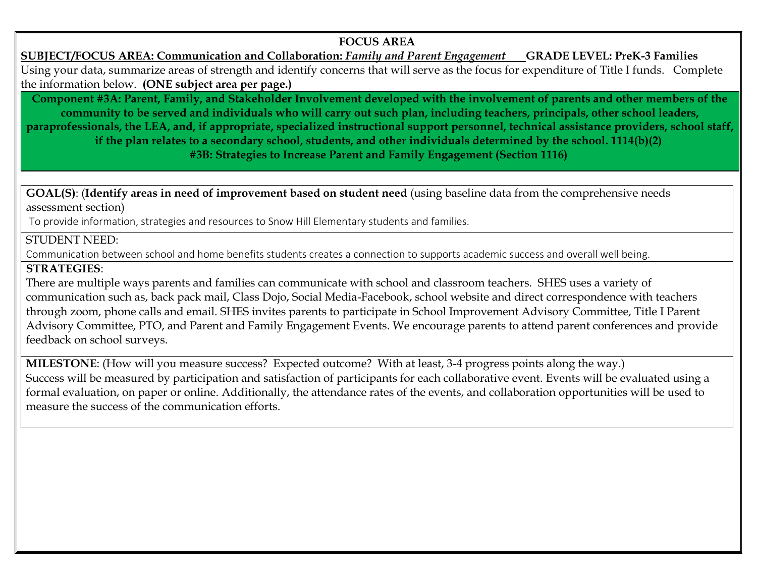**SUBJECT/FOCUS AREA: Communication and Collaboration:** *Family and Parent Engagement* **GRADE LEVEL: PreK-3 Families** Using your data, summarize areas of strength and identify concerns that will serve as the focus for expenditure of Title I funds. Complete the information below. **(ONE subject area per page.)**

**Component #3A: Parent, Family, and Stakeholder Involvement developed with the involvement of parents and other members of the community to be served and individuals who will carry out such plan, including teachers, principals, other school leaders, paraprofessionals, the LEA, and, if appropriate, specialized instructional support personnel, technical assistance providers, school staff, if the plan relates to a secondary school, students, and other individuals determined by the school. 1114(b)(2) #3B: Strategies to Increase Parent and Family Engagement (Section 1116)**

**GOAL(S)**: (**Identify areas in need of improvement based on student need** (using baseline data from the comprehensive needs assessment section)

To provide information, strategies and resources to Snow Hill Elementary students and families.

#### STUDENT NEED:

Communication between school and home benefits students creates a connection to supports academic success and overall well being.

#### **STRATEGIES**:

There are multiple ways parents and families can communicate with school and classroom teachers. SHES uses a variety of communication such as, back pack mail, Class Dojo, Social Media-Facebook, school website and direct correspondence with teachers through zoom, phone calls and email. SHES invites parents to participate in School Improvement Advisory Committee, Title I Parent Advisory Committee, PTO, and Parent and Family Engagement Events. We encourage parents to attend parent conferences and provide feedback on school surveys.

**MILESTONE**: (How will you measure success? Expected outcome? With at least, 3-4 progress points along the way.) Success will be measured by participation and satisfaction of participants for each collaborative event. Events will be evaluated using a formal evaluation, on paper or online. Additionally, the attendance rates of the events, and collaboration opportunities will be used to measure the success of the communication efforts.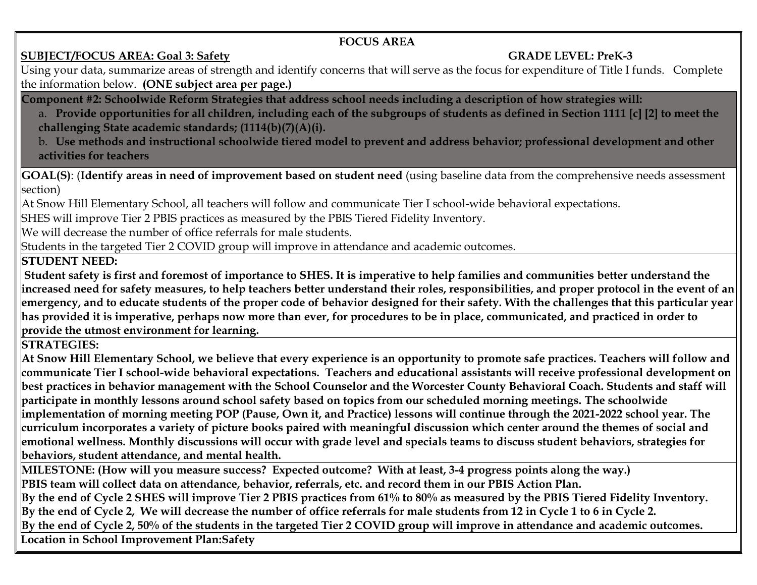# **SUBJECT/FOCUS AREA: Goal 3: Safety****GRADE LEVEL: PreK-3**

Using your data, summarize areas of strength and identify concerns that will serve as the focus for expenditure of Title I funds. Complete the information below. **(ONE subject area per page.)**

**Component #2: Schoolwide Reform Strategies that address school needs including a description of how strategies will:**

- a. **Provide opportunities for all children, including each of the subgroups of students as defined in Section 1111 [c] [2] to meet the challenging State academic standards; (1114(b)(7)(A)(i).**
- b. **Use methods and instructional schoolwide tiered model to prevent and address behavior; professional development and other activities for teachers**

**GOAL(S)**: (**Identify areas in need of improvement based on student need** (using baseline data from the comprehensive needs assessment section)

At Snow Hill Elementary School, all teachers will follow and communicate Tier I school-wide behavioral expectations.

SHES will improve Tier 2 PBIS practices as measured by the PBIS Tiered Fidelity Inventory.

We will decrease the number of office referrals for male students.

Students in the targeted Tier 2 COVID group will improve in attendance and academic outcomes.

**STUDENT NEED:** 

**Student safety is first and foremost of importance to SHES. It is imperative to help families and communities better understand the increased need for safety measures, to help teachers better understand their roles, responsibilities, and proper protocol in the event of an emergency, and to educate students of the proper code of behavior designed for their safety. With the challenges that this particular year has provided it is imperative, perhaps now more than ever, for procedures to be in place, communicated, and practiced in order to provide the utmost environment for learning.** 

**STRATEGIES:**

**At Snow Hill Elementary School, we believe that every experience is an opportunity to promote safe practices. Teachers will follow and communicate Tier I school-wide behavioral expectations. Teachers and educational assistants will receive professional development on best practices in behavior management with the School Counselor and the Worcester County Behavioral Coach. Students and staff will participate in monthly lessons around school safety based on topics from our scheduled morning meetings. The schoolwide implementation of morning meeting POP (Pause, Own it, and Practice) lessons will continue through the 2021-2022 school year. The curriculum incorporates a variety of picture books paired with meaningful discussion which center around the themes of social and emotional wellness. Monthly discussions will occur with grade level and specials teams to discuss student behaviors, strategies for behaviors, student attendance, and mental health.** 

**MILESTONE: (How will you measure success? Expected outcome? With at least, 3-4 progress points along the way.) PBIS team will collect data on attendance, behavior, referrals, etc. and record them in our PBIS Action Plan. By the end of Cycle 2 SHES will improve Tier 2 PBIS practices from 61% to 80% as measured by the PBIS Tiered Fidelity Inventory. By the end of Cycle 2, We will decrease the number of office referrals for male students from 12 in Cycle 1 to 6 in Cycle 2. By the end of Cycle 2, 50% of the students in the targeted Tier 2 COVID group will improve in attendance and academic outcomes. Location in School Improvement Plan:Safety**